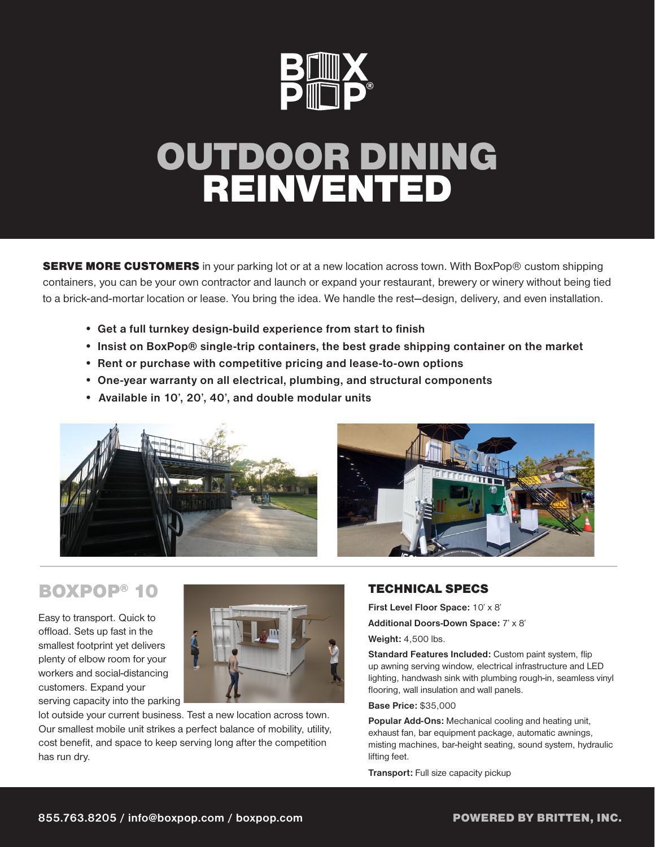

# OUTDOOR DINING REINVENTED

**SERVE MORE CUSTOMERS** in your parking lot or at a new location across town. With BoxPop® custom shipping containers, you can be your own contractor and launch or expand your restaurant, brewery or winery without being tied to a brick-and-mortar location or lease. You bring the idea. We handle the rest—design, delivery, and even installation.

- **•** Get a full turnkey design-build experience from start to finish
- **•** Insist on BoxPop® single-trip containers, the best grade shipping container on the market
- **•** Rent or purchase with competitive pricing and lease-to-own options
- **•** One-year warranty on all electrical, plumbing, and structural components
- Available in 10', 20', 40', and double modular units



## BOXPOP® 10

Easy to transport. Quick to offload. Sets up fast in the smallest footprint yet delivers plenty of elbow room for your workers and social-distancing customers. Expand your serving capacity into the parking



lot outside your current business. Test a new location across town. Our smallest mobile unit strikes a perfect balance of mobility, utility, cost benefit, and space to keep serving long after the competition has run dry.

#### TECHNICAL SPECS

First Level Floor Space: 10' x 8'

Additional Doors-Down Space: 7' x 8'

Weight: 4,500 lbs.

Standard Features Included: Custom paint system, flip up awning serving window, electrical infrastructure and LED lighting, handwash sink with plumbing rough-in, seamless vinyl flooring, wall insulation and wall panels.

#### Base Price: \$35,000

Popular Add-Ons: Mechanical cooling and heating unit, exhaust fan, bar equipment package, automatic awnings, misting machines, bar-height seating, sound system, hydraulic lifting feet.

Transport: Full size capacity pickup